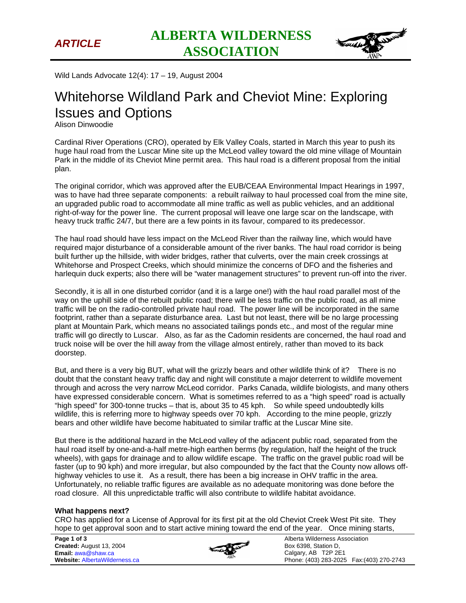

Wild Lands Advocate 12(4): 17 – 19, August 2004

## Whitehorse Wildland Park and Cheviot Mine: Exploring Issues and Options

Alison Dinwoodie

Cardinal River Operations (CRO), operated by Elk Valley Coals, started in March this year to push its huge haul road from the Luscar Mine site up the McLeod valley toward the old mine village of Mountain Park in the middle of its Cheviot Mine permit area. This haul road is a different proposal from the initial plan.

The original corridor, which was approved after the EUB/CEAA Environmental Impact Hearings in 1997, was to have had three separate components: a rebuilt railway to haul processed coal from the mine site, an upgraded public road to accommodate all mine traffic as well as public vehicles, and an additional right-of-way for the power line. The current proposal will leave one large scar on the landscape, with heavy truck traffic 24/7, but there are a few points in its favour, compared to its predecessor.

The haul road should have less impact on the McLeod River than the railway line, which would have required major disturbance of a considerable amount of the river banks. The haul road corridor is being built further up the hillside, with wider bridges, rather that culverts, over the main creek crossings at Whitehorse and Prospect Creeks, which should minimize the concerns of DFO and the fisheries and harlequin duck experts; also there will be "water management structures" to prevent run-off into the river.

Secondly, it is all in one disturbed corridor (and it is a large one!) with the haul road parallel most of the way on the uphill side of the rebuilt public road; there will be less traffic on the public road, as all mine traffic will be on the radio-controlled private haul road. The power line will be incorporated in the same footprint, rather than a separate disturbance area. Last but not least, there will be no large processing plant at Mountain Park, which means no associated tailings ponds etc., and most of the regular mine traffic will go directly to Luscar. Also, as far as the Cadomin residents are concerned, the haul road and truck noise will be over the hill away from the village almost entirely, rather than moved to its back doorstep.

But, and there is a very big BUT, what will the grizzly bears and other wildlife think of it? There is no doubt that the constant heavy traffic day and night will constitute a major deterrent to wildlife movement through and across the very narrow McLeod corridor. Parks Canada, wildlife biologists, and many others have expressed considerable concern. What is sometimes referred to as a "high speed" road is actually "high speed" for 300-tonne trucks – that is, about 35 to 45 kph. So while speed undoubtedly kills wildlife, this is referring more to highway speeds over 70 kph. According to the mine people, grizzly bears and other wildlife have become habituated to similar traffic at the Luscar Mine site.

But there is the additional hazard in the McLeod valley of the adjacent public road, separated from the haul road itself by one-and-a-half metre-high earthen berms (by regulation, half the height of the truck wheels), with gaps for drainage and to allow wildlife escape. The traffic on the gravel public road will be faster (up to 90 kph) and more irregular, but also compounded by the fact that the County now allows offhighway vehicles to use it. As a result, there has been a big increase in OHV traffic in the area. Unfortunately, no reliable traffic figures are available as no adequate monitoring was done before the road closure. All this unpredictable traffic will also contribute to wildlife habitat avoidance.

## **What happens next?**

CRO has applied for a License of Approval for its first pit at the old Cheviot Creek West Pit site. They hope to get approval soon and to start active mining toward the end of the year. Once mining starts,

**Page 1 of 3 Created:** August 13, 2004 **Email:** awa@shaw.ca **Website:** AlbertaWilderness.ca



Alberta Wilderness Association Box 6398, Station D, Calgary, AB T2P 2E1 Phone: (403) 283-2025 Fax:(403) 270-2743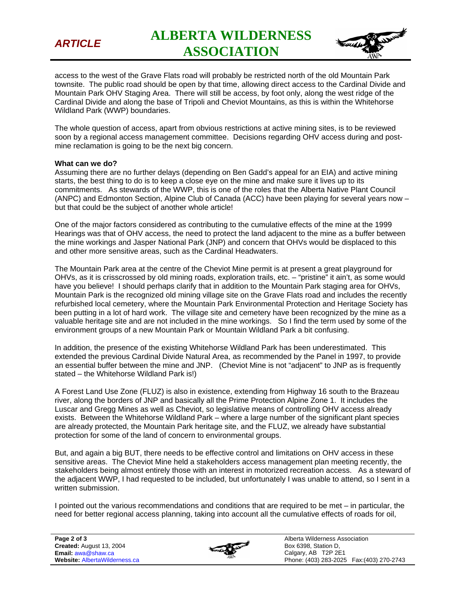

*ARTICLE* **ALBERTA WILDERNESS ASSOCIATION** 



access to the west of the Grave Flats road will probably be restricted north of the old Mountain Park townsite. The public road should be open by that time, allowing direct access to the Cardinal Divide and Mountain Park OHV Staging Area. There will still be access, by foot only, along the west ridge of the Cardinal Divide and along the base of Tripoli and Cheviot Mountains, as this is within the Whitehorse Wildland Park (WWP) boundaries.

The whole question of access, apart from obvious restrictions at active mining sites, is to be reviewed soon by a regional access management committee. Decisions regarding OHV access during and postmine reclamation is going to be the next big concern.

## **What can we do?**

Assuming there are no further delays (depending on Ben Gadd's appeal for an EIA) and active mining starts, the best thing to do is to keep a close eye on the mine and make sure it lives up to its commitments. As stewards of the WWP, this is one of the roles that the Alberta Native Plant Council (ANPC) and Edmonton Section, Alpine Club of Canada (ACC) have been playing for several years now – but that could be the subject of another whole article!

One of the major factors considered as contributing to the cumulative effects of the mine at the 1999 Hearings was that of OHV access, the need to protect the land adjacent to the mine as a buffer between the mine workings and Jasper National Park (JNP) and concern that OHVs would be displaced to this and other more sensitive areas, such as the Cardinal Headwaters.

The Mountain Park area at the centre of the Cheviot Mine permit is at present a great playground for OHVs, as it is crisscrossed by old mining roads, exploration trails, etc. – "pristine" it ain't, as some would have you believe! I should perhaps clarify that in addition to the Mountain Park staging area for OHVs, Mountain Park is the recognized old mining village site on the Grave Flats road and includes the recently refurbished local cemetery, where the Mountain Park Environmental Protection and Heritage Society has been putting in a lot of hard work. The village site and cemetery have been recognized by the mine as a valuable heritage site and are not included in the mine workings. So I find the term used by some of the environment groups of a new Mountain Park or Mountain Wildland Park a bit confusing.

In addition, the presence of the existing Whitehorse Wildland Park has been underestimated. This extended the previous Cardinal Divide Natural Area, as recommended by the Panel in 1997, to provide an essential buffer between the mine and JNP. (Cheviot Mine is not "adjacent" to JNP as is frequently stated – the Whitehorse Wildland Park is!)

A Forest Land Use Zone (FLUZ) is also in existence, extending from Highway 16 south to the Brazeau river, along the borders of JNP and basically all the Prime Protection Alpine Zone 1. It includes the Luscar and Gregg Mines as well as Cheviot, so legislative means of controlling OHV access already exists. Between the Whitehorse Wildland Park – where a large number of the significant plant species are already protected, the Mountain Park heritage site, and the FLUZ, we already have substantial protection for some of the land of concern to environmental groups.

But, and again a big BUT, there needs to be effective control and limitations on OHV access in these sensitive areas. The Cheviot Mine held a stakeholders access management plan meeting recently, the stakeholders being almost entirely those with an interest in motorized recreation access. As a steward of the adjacent WWP, I had requested to be included, but unfortunately I was unable to attend, so I sent in a written submission.

I pointed out the various recommendations and conditions that are required to be met – in particular, the need for better regional access planning, taking into account all the cumulative effects of roads for oil,



Alberta Wilderness Association Box 6398, Station D, Calgary, AB T2P 2E1 Phone: (403) 283-2025 Fax:(403) 270-2743